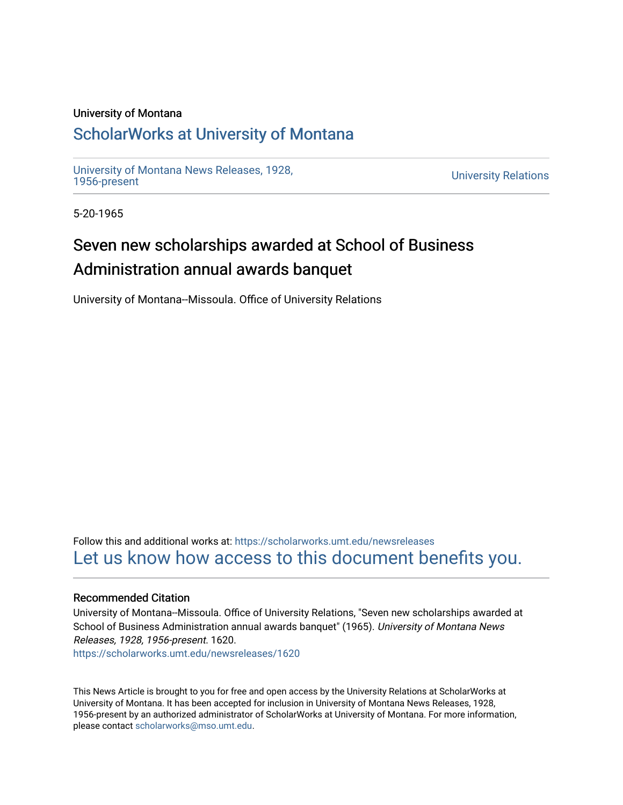### University of Montana

### [ScholarWorks at University of Montana](https://scholarworks.umt.edu/)

[University of Montana News Releases, 1928,](https://scholarworks.umt.edu/newsreleases) 

**University Relations** 

5-20-1965

## Seven new scholarships awarded at School of Business Administration annual awards banquet

University of Montana--Missoula. Office of University Relations

Follow this and additional works at: [https://scholarworks.umt.edu/newsreleases](https://scholarworks.umt.edu/newsreleases?utm_source=scholarworks.umt.edu%2Fnewsreleases%2F1620&utm_medium=PDF&utm_campaign=PDFCoverPages) [Let us know how access to this document benefits you.](https://goo.gl/forms/s2rGfXOLzz71qgsB2) 

#### Recommended Citation

University of Montana--Missoula. Office of University Relations, "Seven new scholarships awarded at School of Business Administration annual awards banquet" (1965). University of Montana News Releases, 1928, 1956-present. 1620.

[https://scholarworks.umt.edu/newsreleases/1620](https://scholarworks.umt.edu/newsreleases/1620?utm_source=scholarworks.umt.edu%2Fnewsreleases%2F1620&utm_medium=PDF&utm_campaign=PDFCoverPages) 

This News Article is brought to you for free and open access by the University Relations at ScholarWorks at University of Montana. It has been accepted for inclusion in University of Montana News Releases, 1928, 1956-present by an authorized administrator of ScholarWorks at University of Montana. For more information, please contact [scholarworks@mso.umt.edu.](mailto:scholarworks@mso.umt.edu)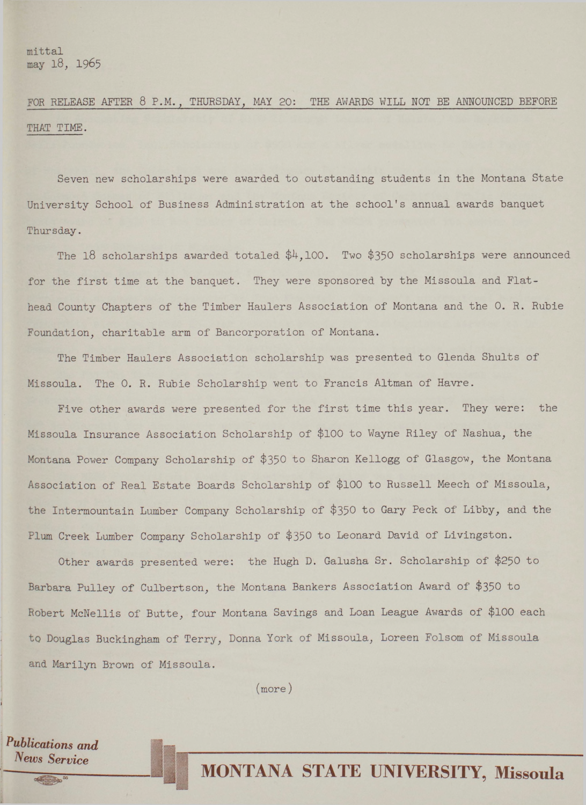**FOR RELEASE AFTER 8 P.M. , THURSDAY, MAY 20: THE AWARDS WILL NOT BE ANNOUNCED BEFORE THAT TIME.**

**Seven new scholarships were awarded to outstanding students in the Montana State University School of Business Administration at the school's annual awards banquet Thursday.**

**The l8 scholarships awarded totaled \$4,100. Two \$350 scholarships were announced for the first time at the banquet. They were sponsored by the Missoula and Flathead County Chapters of the Timber Haulers Association of Montana and the 0. R. Rubie Foundation, charitable arm of Bancorporation of Montana.**

**The Timber Haulers Association scholarship was presented to Glenda Shults of Missoula. The 0. R. Rubie Scholarship went to Francis Altman of Havre.**

**Five other awards were presented for the first time this year. They were: the Missoula Insurance Association Scholarship of \$100 to Wayne Riley of Nashua, the Montana Power Company Scholarship of \$350 to Sharon Kellogg of Glasgow, the Montana Association of Real Estate Boards Scholarship of \$100 to Russell Meech of Missoula, the Intermountain Lumber Company Scholarship of \$350 to Gary Peck of Libby, and the Plum Creek Lumber Company Scholarship of \$350 to Leonard David of Livingston.**

**Other awards presented were: the Hugh D. Galusha Sr. Scholarship of \$250 to Barbara Pulley of Culbertson, the Montana Bankers Association Award of \$350 to Robert McNellis of Butte, four Montana Savings and Loan League Awards of \$100 each to Douglas Buckingham of Terry, Donna York of Missoula, Loreen Folsom of Missoula and Marilyn Brown of Missoula.**

**(more)**

*Publications and News Service*

# **MONTANA STATE UNIVERSITY, Missoula**